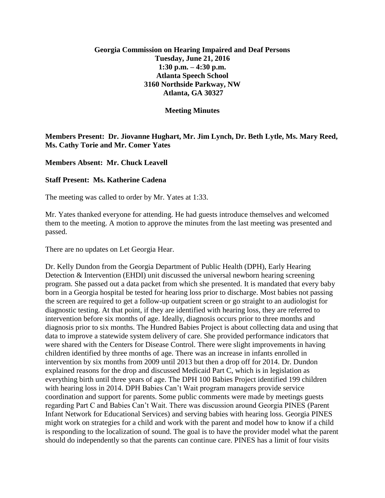# **Georgia Commission on Hearing Impaired and Deaf Persons Tuesday, June 21, 2016 1:30 p.m. – 4:30 p.m. Atlanta Speech School 3160 Northside Parkway, NW Atlanta, GA 30327**

#### **Meeting Minutes**

# **Members Present: Dr. Jiovanne Hughart, Mr. Jim Lynch, Dr. Beth Lytle, Ms. Mary Reed, Ms. Cathy Torie and Mr. Comer Yates**

### **Members Absent: Mr. Chuck Leavell**

### **Staff Present: Ms. Katherine Cadena**

The meeting was called to order by Mr. Yates at 1:33.

Mr. Yates thanked everyone for attending. He had guests introduce themselves and welcomed them to the meeting. A motion to approve the minutes from the last meeting was presented and passed.

There are no updates on Let Georgia Hear.

Dr. Kelly Dundon from the Georgia Department of Public Health (DPH), Early Hearing Detection & Intervention (EHDI) unit discussed the universal newborn hearing screening program. She passed out a data packet from which she presented. It is mandated that every baby born in a Georgia hospital be tested for hearing loss prior to discharge. Most babies not passing the screen are required to get a follow-up outpatient screen or go straight to an audiologist for diagnostic testing. At that point, if they are identified with hearing loss, they are referred to intervention before six months of age. Ideally, diagnosis occurs prior to three months and diagnosis prior to six months. The Hundred Babies Project is about collecting data and using that data to improve a statewide system delivery of care. She provided performance indicators that were shared with the Centers for Disease Control. There were slight improvements in having children identified by three months of age. There was an increase in infants enrolled in intervention by six months from 2009 until 2013 but then a drop off for 2014. Dr. Dundon explained reasons for the drop and discussed Medicaid Part C, which is in legislation as everything birth until three years of age. The DPH 100 Babies Project identified 199 children with hearing loss in 2014. DPH Babies Can't Wait program managers provide service coordination and support for parents. Some public comments were made by meetings guests regarding Part C and Babies Can't Wait. There was discussion around Georgia PINES (Parent Infant Network for Educational Services) and serving babies with hearing loss. Georgia PINES might work on strategies for a child and work with the parent and model how to know if a child is responding to the localization of sound. The goal is to have the provider model what the parent should do independently so that the parents can continue care. PINES has a limit of four visits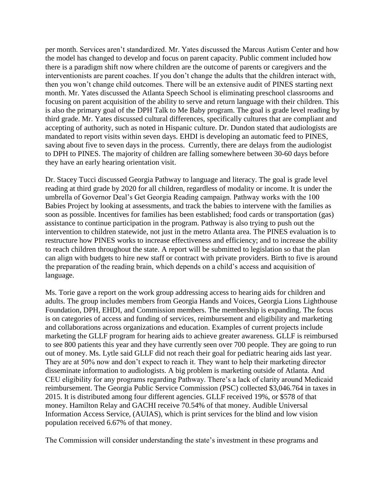per month. Services aren't standardized. Mr. Yates discussed the Marcus Autism Center and how the model has changed to develop and focus on parent capacity. Public comment included how there is a paradigm shift now where children are the outcome of parents or caregivers and the interventionists are parent coaches. If you don't change the adults that the children interact with, then you won't change child outcomes. There will be an extensive audit of PINES starting next month. Mr. Yates discussed the Atlanta Speech School is eliminating preschool classrooms and focusing on parent acquisition of the ability to serve and return language with their children. This is also the primary goal of the DPH Talk to Me Baby program. The goal is grade level reading by third grade. Mr. Yates discussed cultural differences, specifically cultures that are compliant and accepting of authority, such as noted in Hispanic culture. Dr. Dundon stated that audiologists are mandated to report visits within seven days. EHDI is developing an automatic feed to PINES, saving about five to seven days in the process. Currently, there are delays from the audiologist to DPH to PINES. The majority of children are falling somewhere between 30-60 days before they have an early hearing orientation visit.

Dr. Stacey Tucci discussed Georgia Pathway to language and literacy. The goal is grade level reading at third grade by 2020 for all children, regardless of modality or income. It is under the umbrella of Governor Deal's Get Georgia Reading campaign. Pathway works with the 100 Babies Project by looking at assessments, and track the babies to intervene with the families as soon as possible. Incentives for families has been established; food cards or transportation (gas) assistance to continue participation in the program. Pathway is also trying to push out the intervention to children statewide, not just in the metro Atlanta area. The PINES evaluation is to restructure how PINES works to increase effectiveness and efficiency; and to increase the ability to reach children throughout the state. A report will be submitted to legislation so that the plan can align with budgets to hire new staff or contract with private providers. Birth to five is around the preparation of the reading brain, which depends on a child's access and acquisition of language.

Ms. Torie gave a report on the work group addressing access to hearing aids for children and adults. The group includes members from Georgia Hands and Voices, Georgia Lions Lighthouse Foundation, DPH, EHDI, and Commission members. The membership is expanding. The focus is on categories of access and funding of services, reimbursement and eligibility and marketing and collaborations across organizations and education. Examples of current projects include marketing the GLLF program for hearing aids to achieve greater awareness. GLLF is reimbursed to see 800 patients this year and they have currently seen over 700 people. They are going to run out of money. Ms. Lytle said GLLF did not reach their goal for pediatric hearing aids last year. They are at 50% now and don't expect to reach it. They want to help their marketing director disseminate information to audiologists. A big problem is marketing outside of Atlanta. And CEU eligibility for any programs regarding Pathway. There's a lack of clarity around Medicaid reimbursement. The Georgia Public Service Commission (PSC) collected \$3,046.764 in taxes in 2015. It is distributed among four different agencies. GLLF received 19%, or \$578 of that money. Hamilton Relay and GACHI receive 70.54% of that money. Audible Universal Information Access Service, (AUIAS), which is print services for the blind and low vision population received 6.67% of that money.

The Commission will consider understanding the state's investment in these programs and